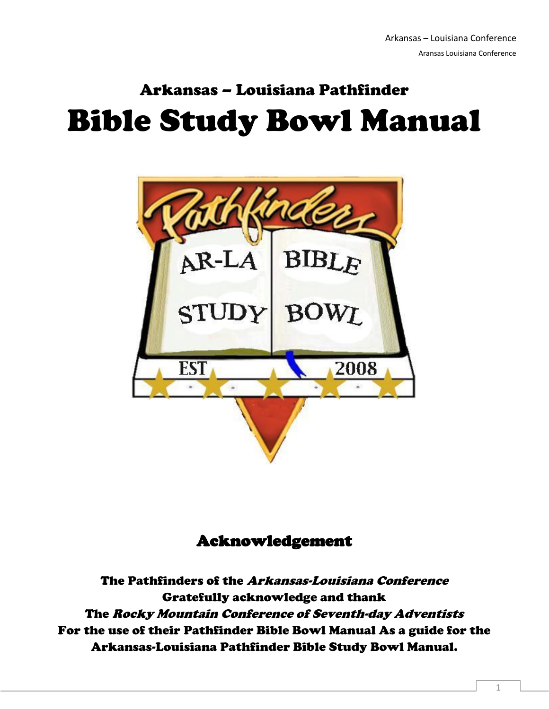Aransas Louisiana Conference

# Arkansas – Louisiana Pathfinder Bible Study Bowl Manual



#### Acknowledgement

The Pathfinders of the Arkansas-Louisiana Conference Gratefully acknowledge and thank The Rocky Mountain Conference of Seventh-day Adventists For the use of their Pathfinder Bible Bowl Manual As a guide for the Arkansas-Louisiana Pathfinder Bible Study Bowl Manual.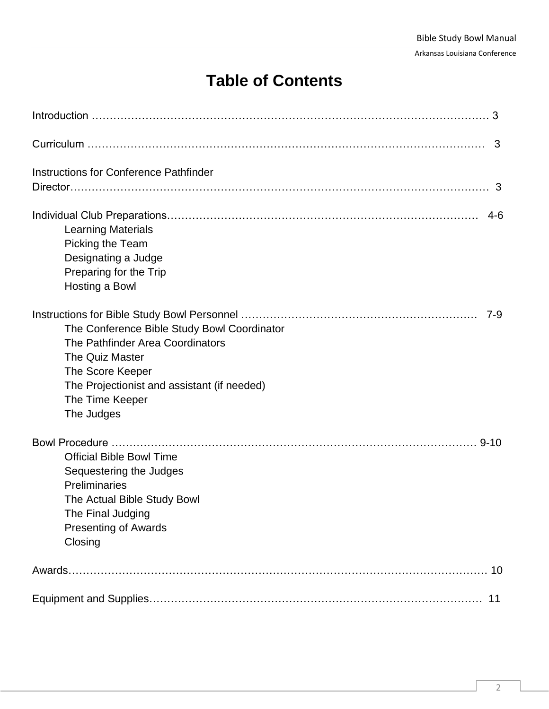Arkansas Louisiana Conference

# **Table of Contents**

|                                                                                                                                                                                                               | 3        |
|---------------------------------------------------------------------------------------------------------------------------------------------------------------------------------------------------------------|----------|
| Instructions for Conference Pathfinder                                                                                                                                                                        |          |
| <b>Learning Materials</b><br>Picking the Team<br>Designating a Judge<br>Preparing for the Trip<br>Hosting a Bowl                                                                                              | $4-6$    |
| The Conference Bible Study Bowl Coordinator<br>The Pathfinder Area Coordinators<br><b>The Quiz Master</b><br>The Score Keeper<br>The Projectionist and assistant (if needed)<br>The Time Keeper<br>The Judges | $7-9$    |
| <b>Official Bible Bowl Time</b><br>Sequestering the Judges<br>Preliminaries<br>The Actual Bible Study Bowl<br>The Final Judging<br><b>Presenting of Awards</b><br>Closing                                     | $9 - 10$ |
|                                                                                                                                                                                                               | 10       |
|                                                                                                                                                                                                               | 11       |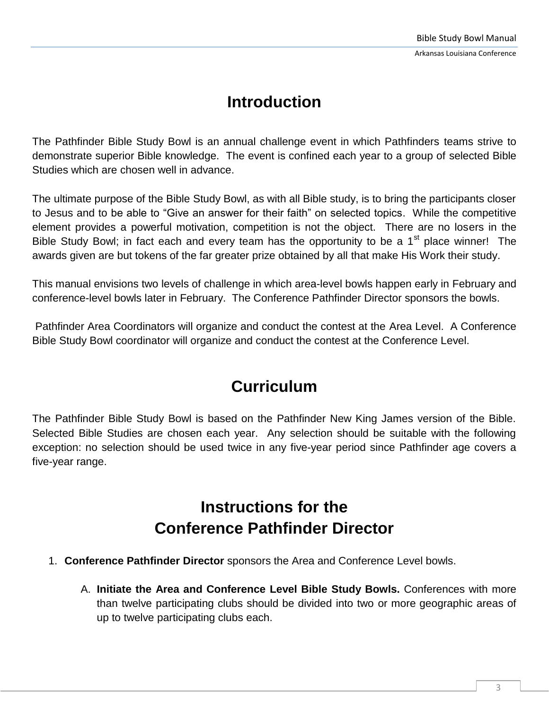### **Introduction**

The Pathfinder Bible Study Bowl is an annual challenge event in which Pathfinders teams strive to demonstrate superior Bible knowledge. The event is confined each year to a group of selected Bible Studies which are chosen well in advance.

The ultimate purpose of the Bible Study Bowl, as with all Bible study, is to bring the participants closer to Jesus and to be able to "Give an answer for their faith" on selected topics. While the competitive element provides a powerful motivation, competition is not the object. There are no losers in the Bible Study Bowl; in fact each and every team has the opportunity to be a  $1<sup>st</sup>$  place winner! The awards given are but tokens of the far greater prize obtained by all that make His Work their study.

This manual envisions two levels of challenge in which area-level bowls happen early in February and conference-level bowls later in February. The Conference Pathfinder Director sponsors the bowls.

Pathfinder Area Coordinators will organize and conduct the contest at the Area Level. A Conference Bible Study Bowl coordinator will organize and conduct the contest at the Conference Level.

# **Curriculum**

The Pathfinder Bible Study Bowl is based on the Pathfinder New King James version of the Bible. Selected Bible Studies are chosen each year. Any selection should be suitable with the following exception: no selection should be used twice in any five-year period since Pathfinder age covers a five-year range.

## **Instructions for the Conference Pathfinder Director**

- 1. **Conference Pathfinder Director** sponsors the Area and Conference Level bowls.
	- A. **Initiate the Area and Conference Level Bible Study Bowls.** Conferences with more than twelve participating clubs should be divided into two or more geographic areas of up to twelve participating clubs each.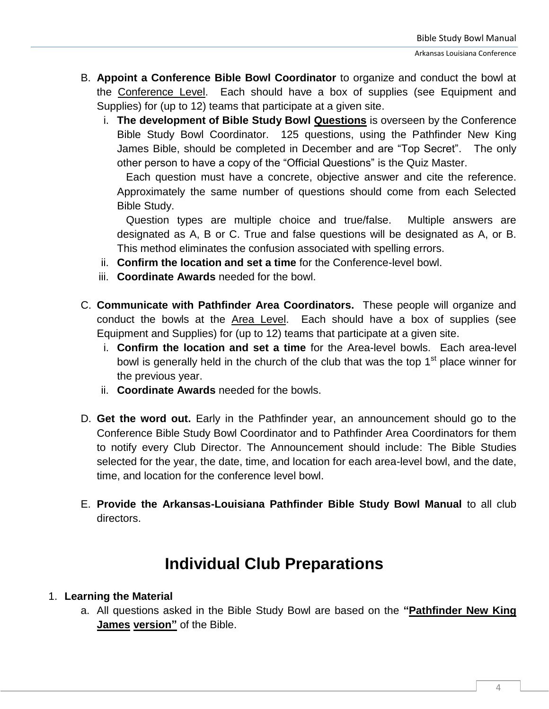- B. **Appoint a Conference Bible Bowl Coordinator** to organize and conduct the bowl at the Conference Level. Each should have a box of supplies (see Equipment and Supplies) for (up to 12) teams that participate at a given site.
	- i. **The development of Bible Study Bowl Questions** is overseen by the Conference Bible Study Bowl Coordinator. 125 questions, using the Pathfinder New King James Bible, should be completed in December and are "Top Secret". The only other person to have a copy of the "Official Questions" is the Quiz Master.

Each question must have a concrete, objective answer and cite the reference. Approximately the same number of questions should come from each Selected Bible Study.

 Question types are multiple choice and true/false. Multiple answers are designated as A, B or C. True and false questions will be designated as A, or B. This method eliminates the confusion associated with spelling errors.

- ii. **Confirm the location and set a time** for the Conference-level bowl.
- iii. **Coordinate Awards** needed for the bowl.
- C. **Communicate with Pathfinder Area Coordinators.** These people will organize and conduct the bowls at the Area Level. Each should have a box of supplies (see Equipment and Supplies) for (up to 12) teams that participate at a given site.
	- i. **Confirm the location and set a time** for the Area-level bowls. Each area-level bowl is generally held in the church of the club that was the top  $1<sup>st</sup>$  place winner for the previous year.
	- ii. **Coordinate Awards** needed for the bowls.
- D. **Get the word out.** Early in the Pathfinder year, an announcement should go to the Conference Bible Study Bowl Coordinator and to Pathfinder Area Coordinators for them to notify every Club Director. The Announcement should include: The Bible Studies selected for the year, the date, time, and location for each area-level bowl, and the date, time, and location for the conference level bowl.
- E. **Provide the Arkansas-Louisiana Pathfinder Bible Study Bowl Manual** to all club directors.

### **Individual Club Preparations**

#### 1. **Learning the Material**

a. All questions asked in the Bible Study Bowl are based on the **"Pathfinder New King James version"** of the Bible.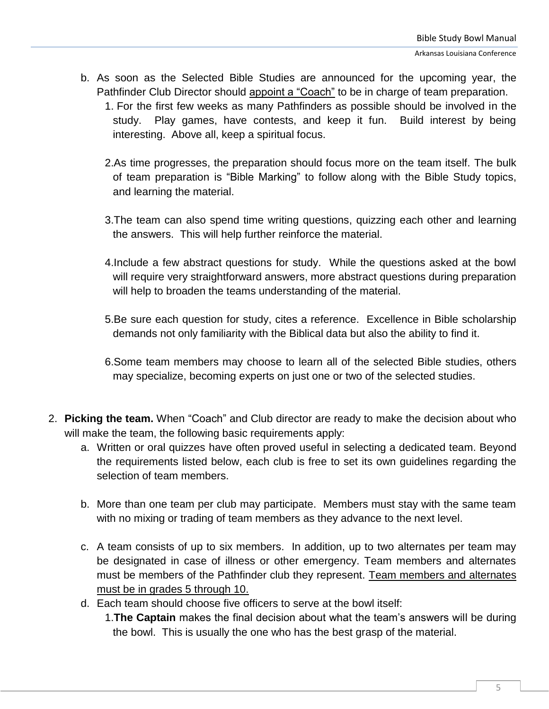- b. As soon as the Selected Bible Studies are announced for the upcoming year, the Pathfinder Club Director should appoint a "Coach" to be in charge of team preparation.
	- 1. For the first few weeks as many Pathfinders as possible should be involved in the study. Play games, have contests, and keep it fun. Build interest by being interesting. Above all, keep a spiritual focus.
	- 2.As time progresses, the preparation should focus more on the team itself. The bulk of team preparation is "Bible Marking" to follow along with the Bible Study topics, and learning the material.
	- 3.The team can also spend time writing questions, quizzing each other and learning the answers. This will help further reinforce the material.
	- 4.Include a few abstract questions for study. While the questions asked at the bowl will require very straightforward answers, more abstract questions during preparation will help to broaden the teams understanding of the material.
	- 5.Be sure each question for study, cites a reference. Excellence in Bible scholarship demands not only familiarity with the Biblical data but also the ability to find it.
	- 6.Some team members may choose to learn all of the selected Bible studies, others may specialize, becoming experts on just one or two of the selected studies.
- 2. **Picking the team.** When "Coach" and Club director are ready to make the decision about who will make the team, the following basic requirements apply:
	- a. Written or oral quizzes have often proved useful in selecting a dedicated team. Beyond the requirements listed below, each club is free to set its own guidelines regarding the selection of team members.
	- b. More than one team per club may participate. Members must stay with the same team with no mixing or trading of team members as they advance to the next level.
	- c. A team consists of up to six members. In addition, up to two alternates per team may be designated in case of illness or other emergency. Team members and alternates must be members of the Pathfinder club they represent. Team members and alternates must be in grades 5 through 10.
	- d. Each team should choose five officers to serve at the bowl itself: 1.**The Captain** makes the final decision about what the team's answers will be during the bowl. This is usually the one who has the best grasp of the material.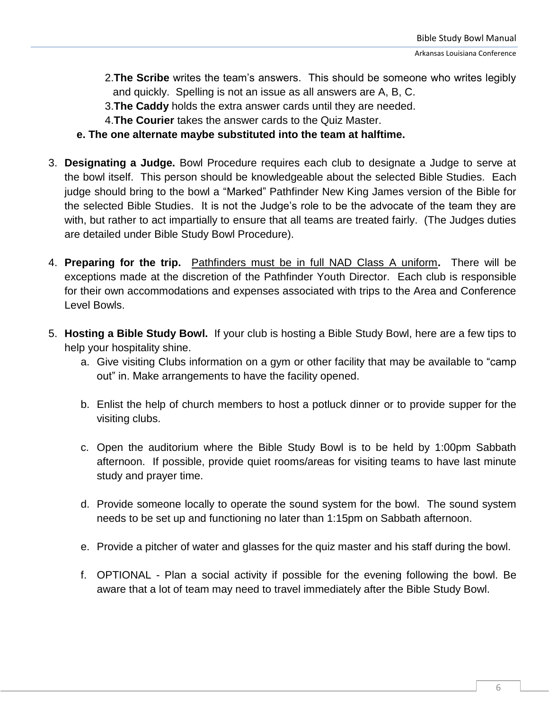- 2.**The Scribe** writes the team's answers. This should be someone who writes legibly and quickly. Spelling is not an issue as all answers are A, B, C.
- 3.**The Caddy** holds the extra answer cards until they are needed.
- 4.**The Courier** takes the answer cards to the Quiz Master.
- **e. The one alternate maybe substituted into the team at halftime.**
- 3. **Designating a Judge.** Bowl Procedure requires each club to designate a Judge to serve at the bowl itself. This person should be knowledgeable about the selected Bible Studies. Each judge should bring to the bowl a "Marked" Pathfinder New King James version of the Bible for the selected Bible Studies. It is not the Judge's role to be the advocate of the team they are with, but rather to act impartially to ensure that all teams are treated fairly. (The Judges duties are detailed under Bible Study Bowl Procedure).
- 4. **Preparing for the trip.** Pathfinders must be in full NAD Class A uniform**.** There will be exceptions made at the discretion of the Pathfinder Youth Director. Each club is responsible for their own accommodations and expenses associated with trips to the Area and Conference Level Bowls.
- 5. **Hosting a Bible Study Bowl.** If your club is hosting a Bible Study Bowl, here are a few tips to help your hospitality shine.
	- a. Give visiting Clubs information on a gym or other facility that may be available to "camp out" in. Make arrangements to have the facility opened.
	- b. Enlist the help of church members to host a potluck dinner or to provide supper for the visiting clubs.
	- c. Open the auditorium where the Bible Study Bowl is to be held by 1:00pm Sabbath afternoon. If possible, provide quiet rooms/areas for visiting teams to have last minute study and prayer time.
	- d. Provide someone locally to operate the sound system for the bowl. The sound system needs to be set up and functioning no later than 1:15pm on Sabbath afternoon.
	- e. Provide a pitcher of water and glasses for the quiz master and his staff during the bowl.
	- f. OPTIONAL Plan a social activity if possible for the evening following the bowl. Be aware that a lot of team may need to travel immediately after the Bible Study Bowl.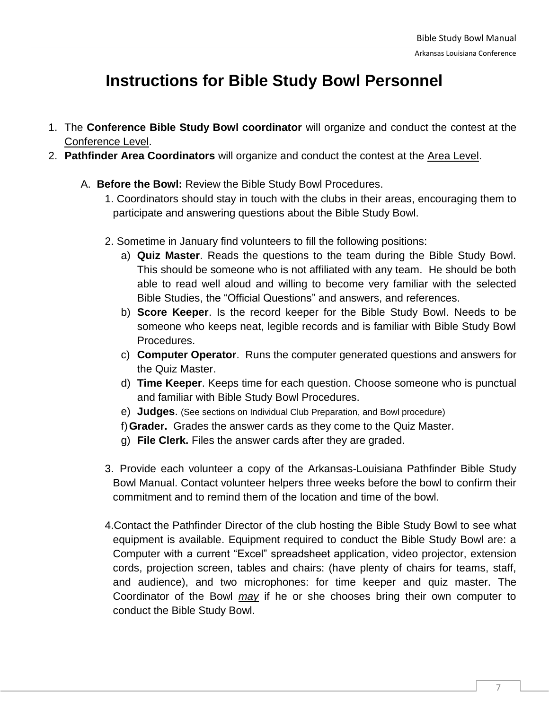### **Instructions for Bible Study Bowl Personnel**

- 1. The **Conference Bible Study Bowl coordinator** will organize and conduct the contest at the Conference Level.
- 2. **Pathfinder Area Coordinators** will organize and conduct the contest at the Area Level.
	- A. **Before the Bowl:** Review the Bible Study Bowl Procedures.
		- 1. Coordinators should stay in touch with the clubs in their areas, encouraging them to participate and answering questions about the Bible Study Bowl.
		- 2. Sometime in January find volunteers to fill the following positions:
			- a) **Quiz Master**. Reads the questions to the team during the Bible Study Bowl. This should be someone who is not affiliated with any team. He should be both able to read well aloud and willing to become very familiar with the selected Bible Studies, the "Official Questions" and answers, and references.
			- b) **Score Keeper**. Is the record keeper for the Bible Study Bowl. Needs to be someone who keeps neat, legible records and is familiar with Bible Study Bowl Procedures.
			- c) **Computer Operator**. Runs the computer generated questions and answers for the Quiz Master.
			- d) **Time Keeper**. Keeps time for each question. Choose someone who is punctual and familiar with Bible Study Bowl Procedures.
			- e) **Judges**. (See sections on Individual Club Preparation, and Bowl procedure)
			- f)**Grader.** Grades the answer cards as they come to the Quiz Master.
			- g) **File Clerk.** Files the answer cards after they are graded.
		- 3. Provide each volunteer a copy of the Arkansas-Louisiana Pathfinder Bible Study Bowl Manual. Contact volunteer helpers three weeks before the bowl to confirm their commitment and to remind them of the location and time of the bowl.
		- 4.Contact the Pathfinder Director of the club hosting the Bible Study Bowl to see what equipment is available. Equipment required to conduct the Bible Study Bowl are: a Computer with a current "Excel" spreadsheet application, video projector, extension cords, projection screen, tables and chairs: (have plenty of chairs for teams, staff, and audience), and two microphones: for time keeper and quiz master. The Coordinator of the Bowl *may* if he or she chooses bring their own computer to conduct the Bible Study Bowl.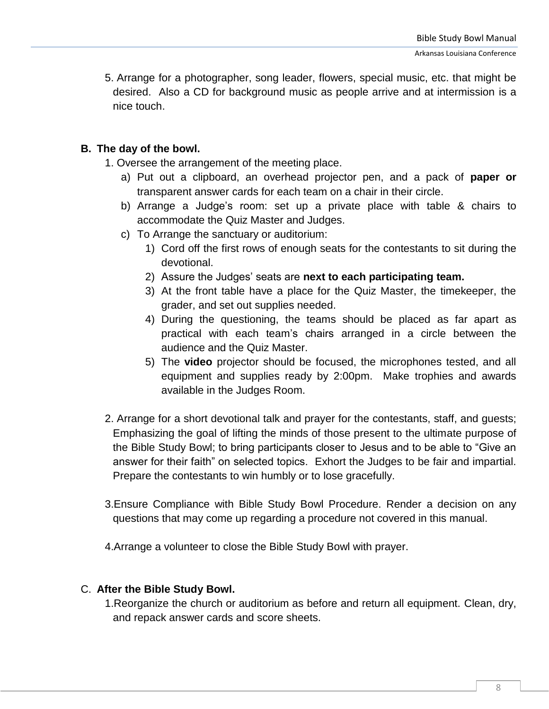5. Arrange for a photographer, song leader, flowers, special music, etc. that might be desired. Also a CD for background music as people arrive and at intermission is a nice touch.

#### **B. The day of the bowl.**

- 1. Oversee the arrangement of the meeting place.
	- a) Put out a clipboard, an overhead projector pen, and a pack of **paper or** transparent answer cards for each team on a chair in their circle.
	- b) Arrange a Judge's room: set up a private place with table & chairs to accommodate the Quiz Master and Judges.
	- c) To Arrange the sanctuary or auditorium:
		- 1) Cord off the first rows of enough seats for the contestants to sit during the devotional.
		- 2) Assure the Judges' seats are **next to each participating team.**
		- 3) At the front table have a place for the Quiz Master, the timekeeper, the grader, and set out supplies needed.
		- 4) During the questioning, the teams should be placed as far apart as practical with each team's chairs arranged in a circle between the audience and the Quiz Master.
		- 5) The **video** projector should be focused, the microphones tested, and all equipment and supplies ready by 2:00pm. Make trophies and awards available in the Judges Room.
- 2. Arrange for a short devotional talk and prayer for the contestants, staff, and guests; Emphasizing the goal of lifting the minds of those present to the ultimate purpose of the Bible Study Bowl; to bring participants closer to Jesus and to be able to "Give an answer for their faith" on selected topics. Exhort the Judges to be fair and impartial. Prepare the contestants to win humbly or to lose gracefully.
- 3.Ensure Compliance with Bible Study Bowl Procedure. Render a decision on any questions that may come up regarding a procedure not covered in this manual.

4.Arrange a volunteer to close the Bible Study Bowl with prayer.

#### C. **After the Bible Study Bowl.**

1.Reorganize the church or auditorium as before and return all equipment. Clean, dry, and repack answer cards and score sheets.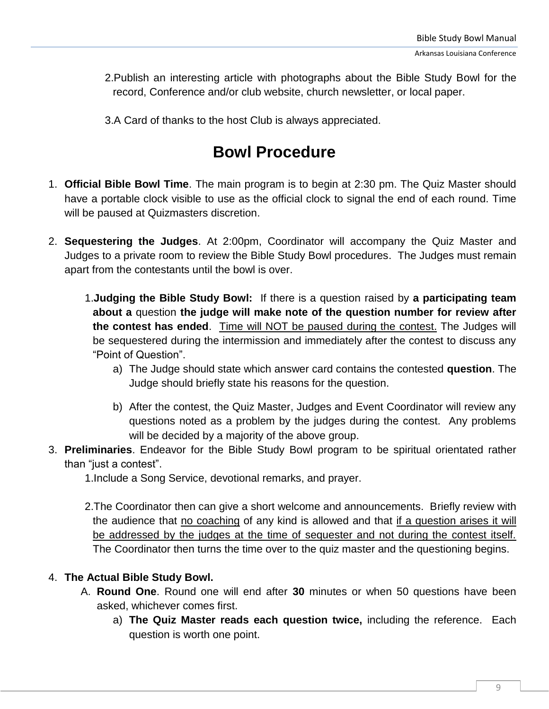2.Publish an interesting article with photographs about the Bible Study Bowl for the record, Conference and/or club website, church newsletter, or local paper.

3.A Card of thanks to the host Club is always appreciated.

# **Bowl Procedure**

- 1. **Official Bible Bowl Time**. The main program is to begin at 2:30 pm. The Quiz Master should have a portable clock visible to use as the official clock to signal the end of each round. Time will be paused at Quizmasters discretion.
- 2. **Sequestering the Judges**. At 2:00pm, Coordinator will accompany the Quiz Master and Judges to a private room to review the Bible Study Bowl procedures. The Judges must remain apart from the contestants until the bowl is over.
	- 1.**Judging the Bible Study Bowl:** If there is a question raised by **a participating team about a** question **the judge will make note of the question number for review after the contest has ended**. Time will NOT be paused during the contest. The Judges will be sequestered during the intermission and immediately after the contest to discuss any "Point of Question".
		- a) The Judge should state which answer card contains the contested **question**. The Judge should briefly state his reasons for the question.
		- b) After the contest, the Quiz Master, Judges and Event Coordinator will review any questions noted as a problem by the judges during the contest. Any problems will be decided by a majority of the above group.
- 3. **Preliminaries**. Endeavor for the Bible Study Bowl program to be spiritual orientated rather than "just a contest".

1.Include a Song Service, devotional remarks, and prayer.

2.The Coordinator then can give a short welcome and announcements. Briefly review with the audience that no coaching of any kind is allowed and that if a question arises it will be addressed by the judges at the time of sequester and not during the contest itself. The Coordinator then turns the time over to the quiz master and the questioning begins.

#### 4. **The Actual Bible Study Bowl.**

- A. **Round One**. Round one will end after **30** minutes or when 50 questions have been asked, whichever comes first.
	- a) **The Quiz Master reads each question twice,** including the reference. Each question is worth one point.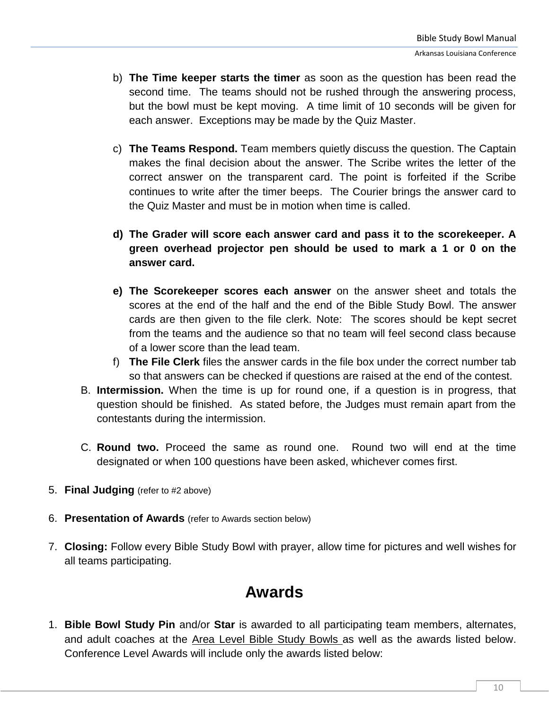- b) **The Time keeper starts the timer** as soon as the question has been read the second time. The teams should not be rushed through the answering process, but the bowl must be kept moving. A time limit of 10 seconds will be given for each answer. Exceptions may be made by the Quiz Master.
- c) **The Teams Respond.** Team members quietly discuss the question. The Captain makes the final decision about the answer. The Scribe writes the letter of the correct answer on the transparent card. The point is forfeited if the Scribe continues to write after the timer beeps. The Courier brings the answer card to the Quiz Master and must be in motion when time is called.
- **d) The Grader will score each answer card and pass it to the scorekeeper. A green overhead projector pen should be used to mark a 1 or 0 on the answer card.**
- **e) The Scorekeeper scores each answer** on the answer sheet and totals the scores at the end of the half and the end of the Bible Study Bowl. The answer cards are then given to the file clerk. Note: The scores should be kept secret from the teams and the audience so that no team will feel second class because of a lower score than the lead team.
- f) **The File Clerk** files the answer cards in the file box under the correct number tab so that answers can be checked if questions are raised at the end of the contest.
- B. **Intermission.** When the time is up for round one, if a question is in progress, that question should be finished. As stated before, the Judges must remain apart from the contestants during the intermission.
- C. **Round two.** Proceed the same as round one. Round two will end at the time designated or when 100 questions have been asked, whichever comes first.
- 5. **Final Judging** (refer to #2 above)
- 6. **Presentation of Awards** (refer to Awards section below)
- 7. **Closing:** Follow every Bible Study Bowl with prayer, allow time for pictures and well wishes for all teams participating.

### **Awards**

1. **Bible Bowl Study Pin** and/or **Star** is awarded to all participating team members, alternates, and adult coaches at the Area Level Bible Study Bowls as well as the awards listed below. Conference Level Awards will include only the awards listed below: